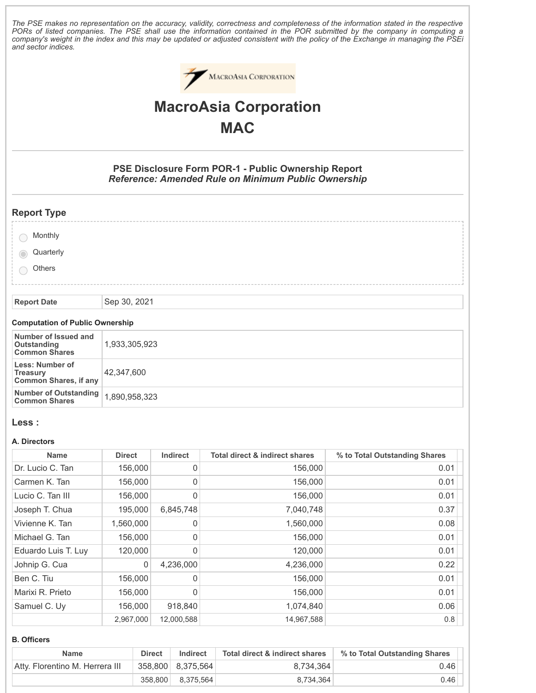The PSE makes no representation on the accuracy, validity, correctness and completeness of the information stated in the respective PORs of listed companies. The PSE shall use the information contained in the POR submitted by the company in computing a company's weight in the index and this may be updated or adjusted consistent with the policy of the Exchange in managing the PSEi *and sector indices.*



# **MacroAsia Corporation MAC**

**PSE Disclosure Form POR-1 - Public Ownership Report** *Reference: Amended Rule on Minimum Public Ownership*

| <b>Report Type</b>                               |              |
|--------------------------------------------------|--------------|
| Monthly<br>Quarterly<br>$\circ$<br><b>Others</b> |              |
| <b>Report Date</b>                               | Sep 30, 2021 |

#### **Computation of Public Ownership**

| Number of Issued and<br>Outstanding                                | 1,933,305,923 |
|--------------------------------------------------------------------|---------------|
| <b>Common Shares</b>                                               |               |
| Less: Number of<br><b>Treasury</b><br><b>Common Shares, if any</b> | 42.347.600    |
| Number of Outstanding<br><b>Common Shares</b>                      | 1,890,958,323 |

### **Less :**

#### **A. Directors**

| <b>Name</b>         | <b>Direct</b> | Indirect   | <b>Total direct &amp; indirect shares</b> | % to Total Outstanding Shares |
|---------------------|---------------|------------|-------------------------------------------|-------------------------------|
| Dr. Lucio C. Tan    | 156,000       | 0          | 156,000                                   | 0.01                          |
| Carmen K. Tan       | 156,000       | 0          | 156,000                                   | 0.01                          |
| Lucio C. Tan III    | 156,000       | 0          | 156,000                                   | 0.01                          |
| Joseph T. Chua      | 195,000       | 6,845,748  | 7,040,748                                 | 0.37                          |
| Vivienne K. Tan     | 1,560,000     | 0          | 1,560,000                                 | 0.08                          |
| Michael G. Tan      | 156,000       | 0          | 156,000                                   | 0.01                          |
| Eduardo Luis T. Luy | 120,000       | 0          | 120,000                                   | 0.01                          |
| Johnip G. Cua       | 0             | 4,236,000  | 4,236,000                                 | 0.22                          |
| Ben C. Tiu          | 156,000       | 0          | 156,000                                   | 0.01                          |
| Marixi R. Prieto    | 156,000       | 0          | 156,000                                   | 0.01                          |
| Samuel C. Uy        | 156,000       | 918,840    | 1,074,840                                 | 0.06                          |
|                     | 2,967,000     | 12,000,588 | 14,967,588                                | 0.8                           |

#### **B. Officers**

| Name                            | <b>Direct</b> | Indirect          | Total direct & indirect shares | % to Total Outstanding Shares |
|---------------------------------|---------------|-------------------|--------------------------------|-------------------------------|
| Atty, Florentino M. Herrera III |               | 358,800 8,375,564 | 8,734,364                      | 0.46                          |
|                                 |               | 358,800 8,375,564 | 8,734,364                      | 0.46                          |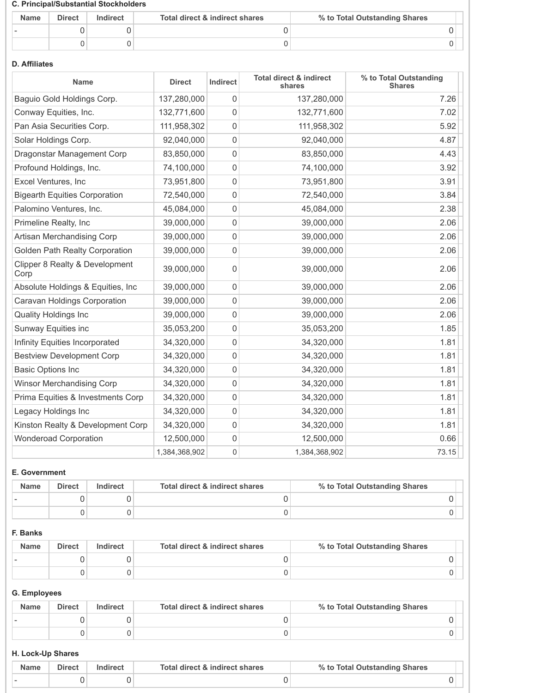#### **C. Principal/Substantial Stockholders**

| <b>Name</b> | <b>Direct</b> | Indirect | Total direct & indirect shares | % to Total Outstanding Shares |
|-------------|---------------|----------|--------------------------------|-------------------------------|
|             |               |          |                                |                               |
|             |               |          |                                |                               |

## **D. Affiliates**

| <b>Name</b>                            | <b>Direct</b> | Indirect    | <b>Total direct &amp; indirect</b><br>shares | % to Total Outstanding<br><b>Shares</b> |
|----------------------------------------|---------------|-------------|----------------------------------------------|-----------------------------------------|
| Baguio Gold Holdings Corp.             | 137,280,000   | $\mathbf 0$ | 137,280,000                                  | 7.26                                    |
| Conway Equities, Inc.                  | 132,771,600   | $\mathsf 0$ | 132,771,600                                  | 7.02                                    |
| Pan Asia Securities Corp.              | 111,958,302   | $\mathbf 0$ | 111,958,302                                  | 5.92                                    |
| Solar Holdings Corp.                   | 92,040,000    | $\mathbf 0$ | 92,040,000                                   | 4.87                                    |
| Dragonstar Management Corp             | 83,850,000    | $\mathsf 0$ | 83,850,000                                   | 4.43                                    |
| Profound Holdings, Inc.                | 74,100,000    | $\mathbf 0$ | 74,100,000                                   | 3.92                                    |
| Excel Ventures, Inc                    | 73,951,800    | $\mathbf 0$ | 73,951,800                                   | 3.91                                    |
| <b>Bigearth Equities Corporation</b>   | 72,540,000    | $\mathsf 0$ | 72,540,000                                   | 3.84                                    |
| Palomino Ventures, Inc.                | 45,084,000    | $\mathbf 0$ | 45,084,000                                   | 2.38                                    |
| Primeline Realty, Inc                  | 39,000,000    | $\mathbf 0$ | 39,000,000                                   | 2.06                                    |
| Artisan Merchandising Corp             | 39,000,000    | $\mathbf 0$ | 39,000,000                                   | 2.06                                    |
| <b>Golden Path Realty Corporation</b>  | 39,000,000    | $\mathbf 0$ | 39,000,000                                   | 2.06                                    |
| Clipper 8 Realty & Development<br>Corp | 39,000,000    | $\mathbf 0$ | 39,000,000                                   | 2.06                                    |
| Absolute Holdings & Equities, Inc      | 39,000,000    | $\mathsf 0$ | 39,000,000                                   | 2.06                                    |
| Caravan Holdings Corporation           | 39,000,000    | $\mathbf 0$ | 39,000,000                                   | 2.06                                    |
| <b>Quality Holdings Inc</b>            | 39,000,000    | $\mathbf 0$ | 39,000,000                                   | 2.06                                    |
| Sunway Equities inc                    | 35,053,200    | $\mathbf 0$ | 35,053,200                                   | 1.85                                    |
| Infinity Equities Incorporated         | 34,320,000    | $\mathbf 0$ | 34,320,000                                   | 1.81                                    |
| <b>Bestview Development Corp</b>       | 34,320,000    | $\mathsf 0$ | 34,320,000                                   | 1.81                                    |
| <b>Basic Options Inc</b>               | 34,320,000    | $\mathbf 0$ | 34,320,000                                   | 1.81                                    |
| <b>Winsor Merchandising Corp</b>       | 34,320,000    | $\mathbf 0$ | 34,320,000                                   | 1.81                                    |
| Prima Equities & Investments Corp      | 34,320,000    | $\mathbf 0$ | 34,320,000                                   | 1.81                                    |
| Legacy Holdings Inc                    | 34,320,000    | $\mathsf 0$ | 34,320,000                                   | 1.81                                    |
| Kinston Realty & Development Corp      | 34,320,000    | $\mathbf 0$ | 34,320,000                                   | 1.81                                    |
| <b>Wonderoad Corporation</b>           | 12,500,000    | $\mathsf 0$ | 12,500,000                                   | 0.66                                    |
|                                        | 1,384,368,902 | 0           | 1,384,368,902                                | 73.15                                   |

## **E. Government**

| <b>Name</b> | <b>Direct</b> | Indirect | Total direct & indirect shares | % to Total Outstanding Shares |
|-------------|---------------|----------|--------------------------------|-------------------------------|
|             |               |          |                                |                               |
|             |               |          |                                |                               |

## **F. Banks**

| <b>Name</b> | <b>Direct</b> | Indirect | Total direct & indirect shares | % to Total Outstanding Shares |
|-------------|---------------|----------|--------------------------------|-------------------------------|
|             |               |          |                                |                               |
|             |               |          |                                |                               |

# **G. Employees**

| <b>Name</b> | <b>Direct</b> | Indirect | Total direct & indirect shares | % to Total Outstanding Shares |  |
|-------------|---------------|----------|--------------------------------|-------------------------------|--|
|             |               |          |                                |                               |  |
|             |               |          |                                |                               |  |

## **H. Lock-Up Shares**

| <b>Name</b> | <b>Direct</b> | Total direct & indirect shares | <b>Total Outstanding Shares</b> |  |
|-------------|---------------|--------------------------------|---------------------------------|--|
|             |               |                                |                                 |  |